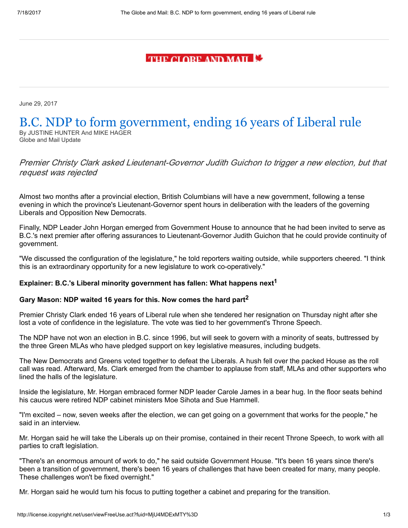# **THE CLORE AND MAIL E**

June 29, 2017

## B.C. NDP to form government, ending 16 years of Liberal rule By JUSTINE HUNTER And MIKE HAGER

Globe and Mail Update

Premier Christy Clark asked Lieutenant-Governor Judith Guichon to trigger a new election, but that request was rejected

Almost two months after a provincial election, British Columbians will have a new government, following a tense evening in which the province's Lieutenant-Governor spent hours in deliberation with the leaders of the governing Liberals and Opposition New Democrats.

Finally, NDP Leader John Horgan emerged from Government House to announce that he had been invited to serve as B.C.'s next premier after offering assurances to Lieutenant-Governor Judith Guichon that he could provide continuity of government.

"We discussed the configuration of the legislature," he told reporters waiting outside, while supporters cheered. "I think this is an extraordinary opportunity for a new legislature to work co-operatively."

### Explainer: B.C.'s Liberal minority government has fallen: What happens  $next<sup>1</sup>$

### Gary Mason: NDP waited 16 years for this. Now comes the hard part<sup>2</sup>

Premier Christy Clark ended 16 years of Liberal rule when she tendered her resignation on Thursday night after she lost a vote of confidence in the legislature. The vote was tied to her government's Throne Speech.

The NDP have not won an election in B.C. since 1996, but will seek to govern with a minority of seats, buttressed by the three Green MLAs who have pledged support on key legislative measures, including budgets.

The New Democrats and Greens voted together to defeat the Liberals. A hush fell over the packed House as the roll call was read. Afterward, Ms. Clark emerged from the chamber to applause from staff, MLAs and other supporters who lined the halls of the legislature.

Inside the legislature, Mr. Horgan embraced former NDP leader Carole James in a bear hug. In the floor seats behind his caucus were retired NDP cabinet ministers Moe Sihota and Sue Hammell.

"I'm excited – now, seven weeks after the election, we can get going on a government that works for the people," he said in an interview.

Mr. Horgan said he will take the Liberals up on their promise, contained in their recent Throne Speech, to work with all parties to craft legislation.

"There's an enormous amount of work to do," he said outside Government House. "It's been 16 years since there's been a transition of government, there's been 16 years of challenges that have been created for many, many people. These challenges won't be fixed overnight."

Mr. Horgan said he would turn his focus to putting together a cabinet and preparing for the transition.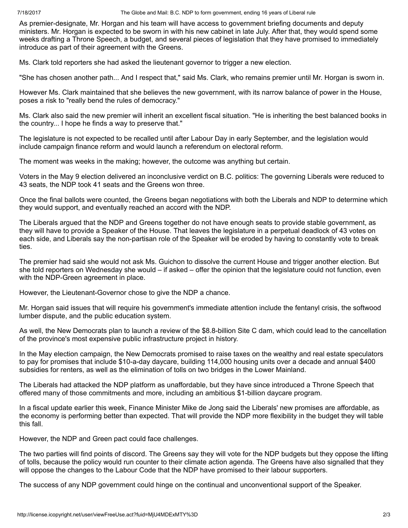7/18/2017 The Globe and Mail: B.C. NDP to form government, ending 16 years of Liberal rule

As premier-designate, Mr. Horgan and his team will have access to government briefing documents and deputy ministers. Mr. Horgan is expected to be sworn in with his new cabinet in late July. After that, they would spend some weeks drafting a Throne Speech, a budget, and several pieces of legislation that they have promised to immediately introduce as part of their agreement with the Greens.

Ms. Clark told reporters she had asked the lieutenant governor to trigger a new election.

"She has chosen another path... And I respect that," said Ms. Clark, who remains premier until Mr. Horgan is sworn in.

However Ms. Clark maintained that she believes the new government, with its narrow balance of power in the House, poses a risk to "really bend the rules of democracy."

Ms. Clark also said the new premier will inherit an excellent fiscal situation. "He is inheriting the best balanced books in the country... I hope he finds a way to preserve that."

The legislature is not expected to be recalled until after Labour Day in early September, and the legislation would include campaign finance reform and would launch a referendum on electoral reform.

The moment was weeks in the making; however, the outcome was anything but certain.

Voters in the May 9 election delivered an inconclusive verdict on B.C. politics: The governing Liberals were reduced to 43 seats, the NDP took 41 seats and the Greens won three.

Once the final ballots were counted, the Greens began negotiations with both the Liberals and NDP to determine which they would support, and eventually reached an accord with the NDP.

The Liberals argued that the NDP and Greens together do not have enough seats to provide stable government, as they will have to provide a Speaker of the House. That leaves the legislature in a perpetual deadlock of 43 votes on each side, and Liberals say the non-partisan role of the Speaker will be eroded by having to constantly vote to break ties.

The premier had said she would not ask Ms. Guichon to dissolve the current House and trigger another election. But she told reporters on Wednesday she would – if asked – offer the opinion that the legislature could not function, even with the NDP-Green agreement in place.

However, the Lieutenant-Governor chose to give the NDP a chance.

Mr. Horgan said issues that will require his government's immediate attention include the fentanyl crisis, the softwood lumber dispute, and the public education system.

As well, the New Democrats plan to launch a review of the \$8.8-billion Site C dam, which could lead to the cancellation of the province's most expensive public infrastructure project in history.

In the May election campaign, the New Democrats promised to raise taxes on the wealthy and real estate speculators to pay for promises that include \$10-a-day daycare, building 114,000 housing units over a decade and annual \$400 subsidies for renters, as well as the elimination of tolls on two bridges in the Lower Mainland.

The Liberals had attacked the NDP platform as unaffordable, but they have since introduced a Throne Speech that offered many of those commitments and more, including an ambitious \$1-billion daycare program.

In a fiscal update earlier this week, Finance Minister Mike de Jong said the Liberals' new promises are affordable, as the economy is performing better than expected. That will provide the NDP more flexibility in the budget they will table this fall.

However, the NDP and Green pact could face challenges.

The two parties will find points of discord. The Greens say they will vote for the NDP budgets but they oppose the lifting of tolls, because the policy would run counter to their climate action agenda. The Greens have also signalled that they will oppose the changes to the Labour Code that the NDP have promised to their labour supporters.

The success of any NDP government could hinge on the continual and unconventional support of the Speaker.